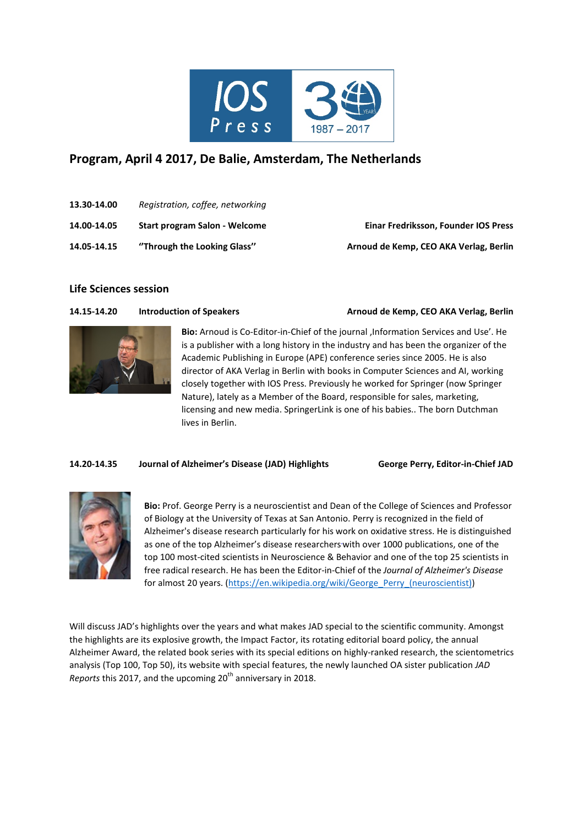

# **Program, April 4 2017, De Balie, Amsterdam, The Netherlands**

- **13.30-14.00** *Registration, coffee, networking*
- **14.00-14.05 Start program Salon - Welcome Einar Fredriksson, Founder IOS Press**
- **14.05-14.15 ''Through the Looking Glass'' Arnoud de Kemp, CEO AKA Verlag, Berlin**

# **Life Sciences session**

## **14.15-14.20 Introduction of Speakers Arnoud de Kemp, CEO AKA Verlag, Berlin**



**Bio:** Arnoud is Co-Editor-in-Chief of the journal 'Information Services and Use'. He is a publisher with a long history in the industry and has been the organizer of the Academic Publishing in Europe (APE) conference series since 2005. He is also director of AKA Verlag in Berlin with books in Computer Sciences and AI, working closely together with IOS Press. Previously he worked for Springer (now Springer Nature), lately as a Member of the Board, responsible for sales, marketing, licensing and new media. SpringerLink is one of his babies.. The born Dutchman lives in Berlin.

# **14.20-14.35 Journal of Alzheimer's Disease (JAD) Highlights George Perry, Editor-in-Chief JAD**



**Bio:** Prof. George Perry is a neuroscientist and Dean of the College of Sciences and Professor of Biology at the University of Texas at San Antonio. Perry is recognized in the field of Alzheimer's disease research particularly for his work on oxidative stress. He is distinguished as one of the top Alzheimer's disease researchers with over 1000 publications, one of the top 100 most-cited scientists in Neuroscience & Behavior and one of the top 25 scientists in free radical research. He has been the Editor-in-Chief of the *Journal of Alzheimer's Disease* for almost 20 years. [\(https://en.wikipedia.org/wiki/George\\_Perry\\_\(neuroscientist\)\)](https://en.wikipedia.org/wiki/George_Perry_(neuroscientist))

Will discuss JAD's highlights over the years and what makes JAD special to the scientific community. Amongst the highlights are its explosive growth, the Impact Factor, its rotating editorial board policy, the annual Alzheimer Award, the related book series with its special editions on highly-ranked research, the scientometrics analysis (Top 100, Top 50), its website with special features, the newly launched OA sister publication *JAD Reports* this 2017, and the upcoming 20<sup>th</sup> anniversary in 2018.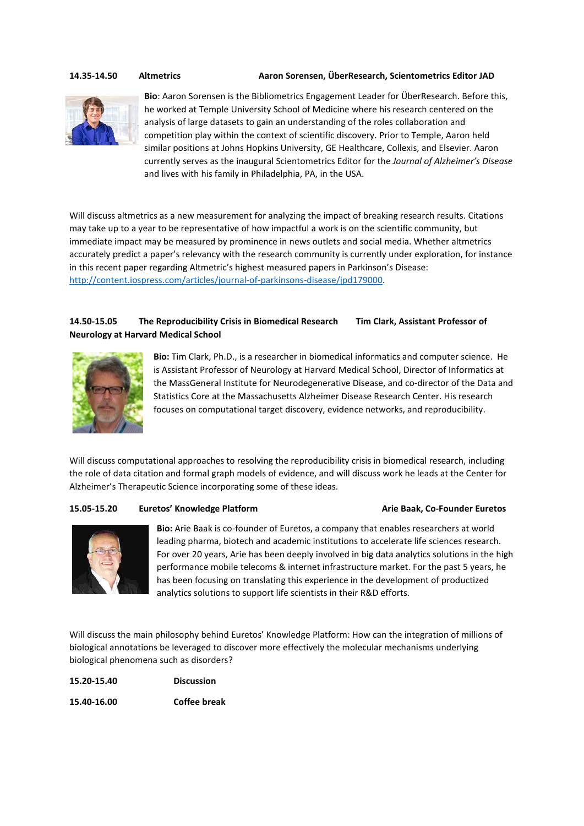**14.35-14.50 Altmetrics Aaron Sorensen, ÜberResearch, Scientometrics Editor JAD**



**Bio**: Aaron Sorensen is the Bibliometrics Engagement Leader for ÜberResearch. Before this, he worked at Temple University School of Medicine where his research centered on the analysis of large datasets to gain an understanding of the roles collaboration and competition play within the context of scientific discovery. Prior to Temple, Aaron held similar positions at Johns Hopkins University, GE Healthcare, Collexis, and Elsevier. Aaron currently serves as the inaugural Scientometrics Editor for the *Journal of Alzheimer's Disease* and lives with his family in Philadelphia, PA, in the USA.

Will discuss altmetrics as a new measurement for analyzing the impact of breaking research results. Citations may take up to a year to be representative of how impactful a work is on the scientific community, but immediate impact may be measured by prominence in news outlets and social media. Whether altmetrics accurately predict a paper's relevancy with the research community is currently under exploration, for instance in this recent paper regarding Altmetric's highest measured papers in Parkinson's Disease: [http://content.iospress.com/articles/journal-of-parkinsons-disease/jpd179000.](http://content.iospress.com/articles/journal-of-parkinsons-disease/jpd179000) 

# **14.50-15.05 The Reproducibility Crisis in Biomedical Research Tim Clark, Assistant Professor of Neurology at Harvard Medical School**



**Bio:** Tim Clark, Ph.D., is a researcher in biomedical informatics and computer science. He is Assistant Professor of Neurology at Harvard Medical School, Director of Informatics at the MassGeneral Institute for Neurodegenerative Disease, and co-director of the Data and Statistics Core at the Massachusetts Alzheimer Disease Research Center. His research focuses on computational target discovery, evidence networks, and reproducibility.

Will discuss computational approaches to resolving the reproducibility crisis in biomedical research, including the role of data citation and formal graph models of evidence, and will discuss work he leads at the Center for Alzheimer's Therapeutic Science incorporating some of these ideas.

### **15.05-15.20 Euretos' Knowledge Platform Arie Baak, Co-Founder Euretos**



**Bio:** Arie Baak is co-founder of Euretos, a company that enables researchers at world leading pharma, biotech and academic institutions to accelerate life sciences research. For over 20 years, Arie has been deeply involved in big data analytics solutions in the high performance mobile telecoms & internet infrastructure market. For the past 5 years, he has been focusing on translating this experience in the development of productized analytics solutions to support life scientists in their R&D efforts.

Will discuss the main philosophy behind Euretos' Knowledge Platform: How can the integration of millions of biological annotations be leveraged to discover more effectively the molecular mechanisms underlying biological phenomena such as disorders?

| 15.20-15.40 | <b>Discussion</b>   |  |
|-------------|---------------------|--|
| 15.40-16.00 | <b>Coffee break</b> |  |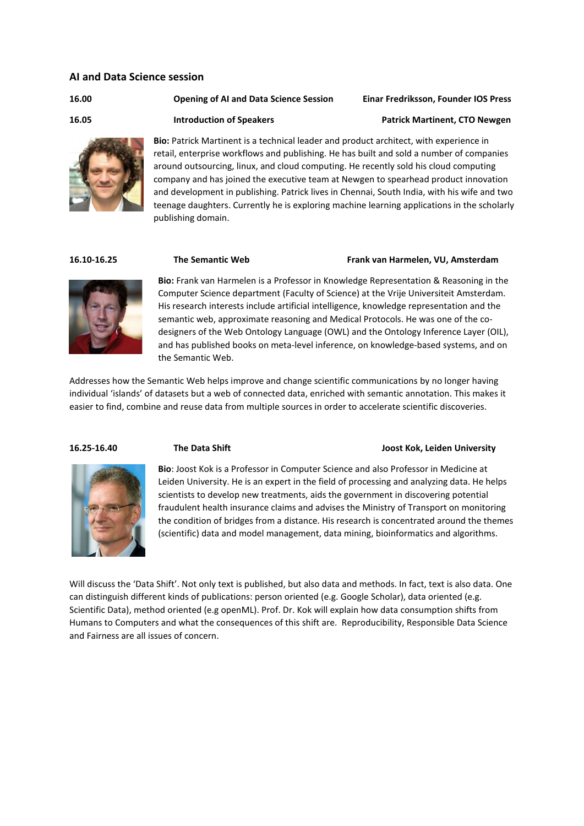### **AI and Data Science session**

### **16.00 Opening of AI and Data Science Session Einar Fredriksson, Founder IOS Press**

**16.05 Introduction of Speakers Patrick Martinent, CTO Newgen**



**Bio:** Patrick Martinent is a technical leader and product architect, with experience in retail, enterprise workflows and publishing. He has built and sold a number of companies around outsourcing, linux, and cloud computing. He recently sold his cloud computing company and has joined the executive team at Newgen to spearhead product innovation and development in publishing. Patrick lives in Chennai, South India, with his wife and two teenage daughters. Currently he is exploring machine learning applications in the scholarly publishing domain.

### **16.10-16.25 The Semantic Web Frank van Harmelen, VU, Amsterdam**

**Bio:** Frank van Harmelen is a Professor in Knowledge Representation & Reasoning in the Computer Science department (Faculty of Science) at the Vrije Universiteit Amsterdam. His research interests include artificial intelligence, knowledge representation and the semantic web, approximate reasoning and Medical Protocols. He was one of the codesigners of the Web Ontology Language (OWL) and the Ontology Inference Layer (OIL), and has published books on meta-level inference, on knowledge-based systems, and on the Semantic Web.

Addresses how the Semantic Web helps improve and change scientific communications by no longer having individual 'islands' of datasets but a web of connected data, enriched with semantic annotation. This makes it easier to find, combine and reuse data from multiple sources in order to accelerate scientific discoveries.

### **16.25-16.40 The Data Shift Joost Kok, Leiden University**



**Bio**: Joost Kok is a Professor in Computer Science and also Professor in Medicine at Leiden University. He is an expert in the field of processing and analyzing data. He helps scientists to develop new treatments, aids the government in discovering potential fraudulent health insurance claims and advises the Ministry of Transport on monitoring the condition of bridges from a distance. His research is concentrated around the themes (scientific) data and model management, data mining, bioinformatics and algorithms.

Will discuss the 'Data Shift'. Not only text is published, but also data and methods. In fact, text is also data. One can distinguish different kinds of publications: person oriented (e.g. Google Scholar), data oriented (e.g. Scientific Data), method oriented (e.g openML). Prof. Dr. Kok will explain how data consumption shifts from Humans to Computers and what the consequences of this shift are. Reproducibility, Responsible Data Science and Fairness are all issues of concern.